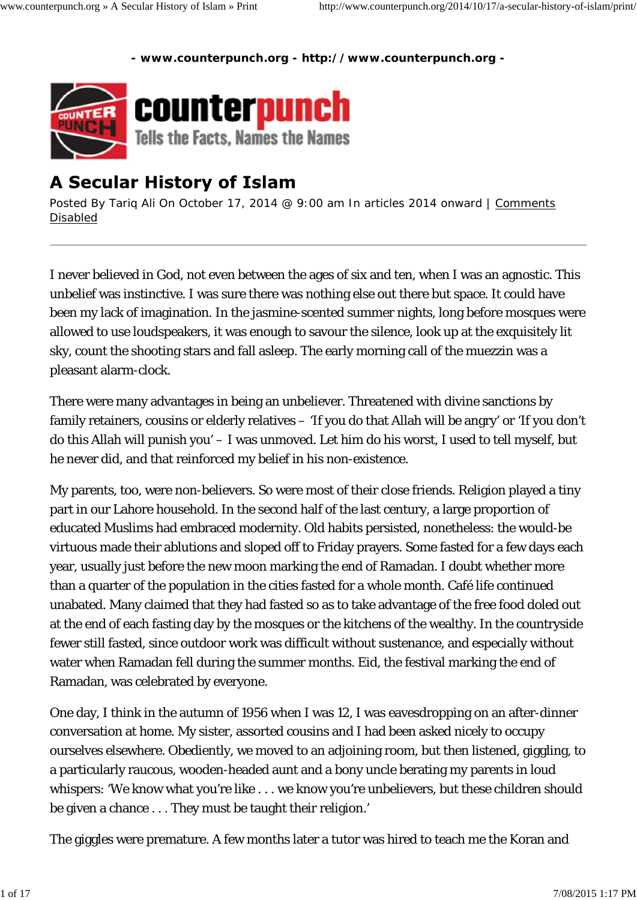**- www.counterpunch.org - http://www.counterpunch.org -**



## **A Secular History of Islam**

Posted By *Tariq Ali* On October 17, 2014 @ 9:00 am In articles 2014 onward | Comments Disabled

I never believed in God, not even between the ages of six and ten, when I was an agnostic. This unbelief was instinctive. I was sure there was nothing else out there but space. It could have been my lack of imagination. In the jasmine-scented summer nights, long before mosques were allowed to use loudspeakers, it was enough to savour the silence, look up at the exquisitely lit sky, count the shooting stars and fall asleep. The early morning call of the muezzin was a pleasant alarm-clock.

There were many advantages in being an unbeliever. Threatened with divine sanctions by family retainers, cousins or elderly relatives – 'If you do that Allah will be angry' or 'If you don't do this Allah will punish you' – I was unmoved. Let him do his worst, I used to tell myself, but he never did, and that reinforced my belief in his non-existence.

My parents, too, were non-believers. So were most of their close friends. Religion played a tiny part in our Lahore household. In the second half of the last century, a large proportion of educated Muslims had embraced modernity. Old habits persisted, nonetheless: the would-be virtuous made their ablutions and sloped off to Friday prayers. Some fasted for a few days each year, usually just before the new moon marking the end of Ramadan. I doubt whether more than a quarter of the population in the cities fasted for a whole month. Café life continued unabated. Many claimed that they had fasted so as to take advantage of the free food doled out at the end of each fasting day by the mosques or the kitchens of the wealthy. In the countryside fewer still fasted, since outdoor work was difficult without sustenance, and especially without water when Ramadan fell during the summer months. Eid, the festival marking the end of Ramadan, was celebrated by everyone.

One day, I think in the autumn of 1956 when I was 12, I was eavesdropping on an after-dinner conversation at home. My sister, assorted cousins and I had been asked nicely to occupy ourselves elsewhere. Obediently, we moved to an adjoining room, but then listened, giggling, to a particularly raucous, wooden-headed aunt and a bony uncle berating my parents in loud whispers: 'We know what you're like . . . we know you're unbelievers, but these children should be given a chance . . . They must be taught their religion.'

The giggles were premature. A few months later a tutor was hired to teach me the Koran and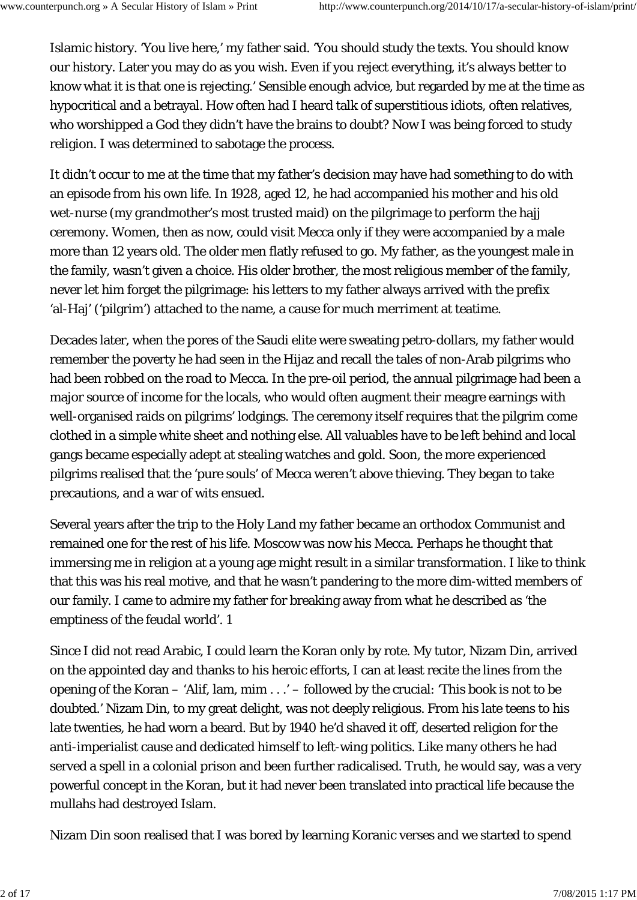Islamic history. 'You live here,' my father said. 'You should study the texts. You should know our history. Later you may do as you wish. Even if you reject everything, it's always better to know what it is that one is rejecting.' Sensible enough advice, but regarded by me at the time as hypocritical and a betrayal. How often had I heard talk of superstitious idiots, often relatives, who worshipped a God they didn't have the brains to doubt? Now I was being forced to study religion. I was determined to sabotage the process.

It didn't occur to me at the time that my father's decision may have had something to do with an episode from his own life. In 1928, aged 12, he had accompanied his mother and his old wet-nurse (my grandmother's most trusted maid) on the pilgrimage to perform the hajj ceremony. Women, then as now, could visit Mecca only if they were accompanied by a male more than 12 years old. The older men flatly refused to go. My father, as the youngest male in the family, wasn't given a choice. His older brother, the most religious member of the family, never let him forget the pilgrimage: his letters to my father always arrived with the prefix 'al-Haj' ('pilgrim') attached to the name, a cause for much merriment at teatime.

Decades later, when the pores of the Saudi elite were sweating petro-dollars, my father would remember the poverty he had seen in the Hijaz and recall the tales of non-Arab pilgrims who had been robbed on the road to Mecca. In the pre-oil period, the annual pilgrimage had been a major source of income for the locals, who would often augment their meagre earnings with well-organised raids on pilgrims' lodgings. The ceremony itself requires that the pilgrim come clothed in a simple white sheet and nothing else. All valuables have to be left behind and local gangs became especially adept at stealing watches and gold. Soon, the more experienced pilgrims realised that the 'pure souls' of Mecca weren't above thieving. They began to take precautions, and a war of wits ensued.

Several years after the trip to the Holy Land my father became an orthodox Communist and remained one for the rest of his life. Moscow was now his Mecca. Perhaps he thought that immersing me in religion at a young age might result in a similar transformation. I like to think that this was his real motive, and that he wasn't pandering to the more dim-witted members of our family. I came to admire my father for breaking away from what he described as 'the emptiness of the feudal world'. 1

Since I did not read Arabic, I could learn the Koran only by rote. My tutor, Nizam Din, arrived on the appointed day and thanks to his heroic efforts, I can at least recite the lines from the opening of the Koran – 'Alif, lam, mim . . .' – followed by the crucial: 'This book is not to be doubted.' Nizam Din, to my great delight, was not deeply religious. From his late teens to his late twenties, he had worn a beard. But by 1940 he'd shaved it off, deserted religion for the anti-imperialist cause and dedicated himself to left-wing politics. Like many others he had served a spell in a colonial prison and been further radicalised. Truth, he would say, was a very powerful concept in the Koran, but it had never been translated into practical life because the mullahs had destroyed Islam.

Nizam Din soon realised that I was bored by learning Koranic verses and we started to spend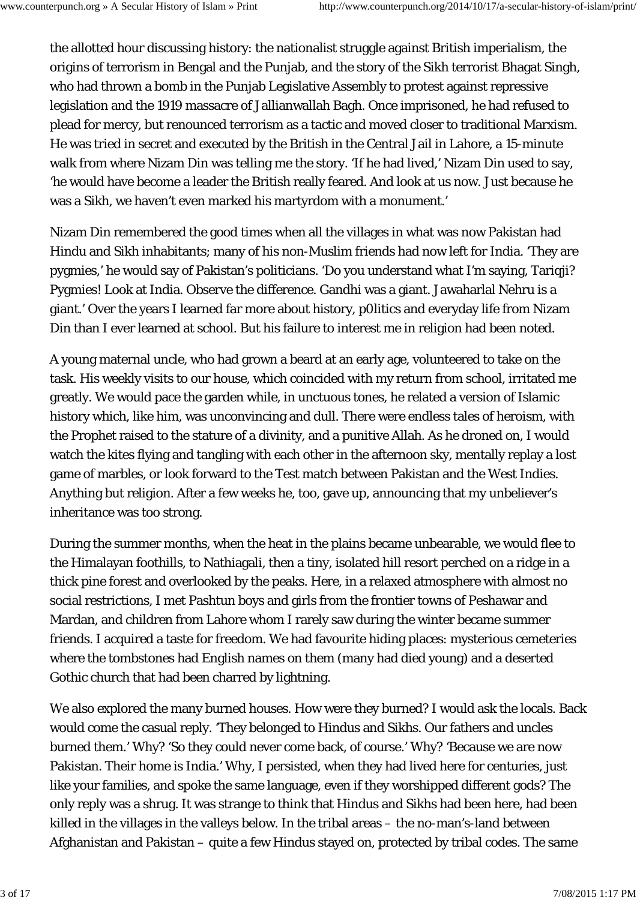the allotted hour discussing history: the nationalist struggle against British imperialism, the origins of terrorism in Bengal and the Punjab, and the story of the Sikh terrorist Bhagat Singh, who had thrown a bomb in the Punjab Legislative Assembly to protest against repressive legislation and the 1919 massacre of Jallianwallah Bagh. Once imprisoned, he had refused to plead for mercy, but renounced terrorism as a tactic and moved closer to traditional Marxism. He was tried in secret and executed by the British in the Central Jail in Lahore, a 15-minute walk from where Nizam Din was telling me the story. 'If he had lived,' Nizam Din used to say, 'he would have become a leader the British really feared. And look at us now. Just because he was a Sikh, we haven't even marked his martyrdom with a monument.'

Nizam Din remembered the good times when all the villages in what was now Pakistan had Hindu and Sikh inhabitants; many of his non-Muslim friends had now left for India. 'They are pygmies,' he would say of Pakistan's politicians. 'Do you understand what I'm saying, Tariqji? Pygmies! Look at India. Observe the difference. Gandhi was a giant. Jawaharlal Nehru is a giant.' Over the years I learned far more about history, p0litics and everyday life from Nizam Din than I ever learned at school. But his failure to interest me in religion had been noted.

A young maternal uncle, who had grown a beard at an early age, volunteered to take on the task. His weekly visits to our house, which coincided with my return from school, irritated me greatly. We would pace the garden while, in unctuous tones, he related a version of Islamic history which, like him, was unconvincing and dull. There were endless tales of heroism, with the Prophet raised to the stature of a divinity, and a punitive Allah. As he droned on, I would watch the kites flying and tangling with each other in the afternoon sky, mentally replay a lost game of marbles, or look forward to the Test match between Pakistan and the West Indies. Anything but religion. After a few weeks he, too, gave up, announcing that my unbeliever's inheritance was too strong.

During the summer months, when the heat in the plains became unbearable, we would flee to the Himalayan foothills, to Nathiagali, then a tiny, isolated hill resort perched on a ridge in a thick pine forest and overlooked by the peaks. Here, in a relaxed atmosphere with almost no social restrictions, I met Pashtun boys and girls from the frontier towns of Peshawar and Mardan, and children from Lahore whom I rarely saw during the winter became summer friends. I acquired a taste for freedom. We had favourite hiding places: mysterious cemeteries where the tombstones had English names on them (many had died young) and a deserted Gothic church that had been charred by lightning.

We also explored the many burned houses. How were they burned? I would ask the locals. Back would come the casual reply. 'They belonged to Hindus and Sikhs. Our fathers and uncles burned them.' Why? 'So they could never come back, of course.' Why? 'Because we are now Pakistan. Their home is India.' Why, I persisted, when they had lived here for centuries, just like your families, and spoke the same language, even if they worshipped different gods? The only reply was a shrug. It was strange to think that Hindus and Sikhs had been here, had been killed in the villages in the valleys below. In the tribal areas – the no-man's-land between Afghanistan and Pakistan – quite a few Hindus stayed on, protected by tribal codes. The same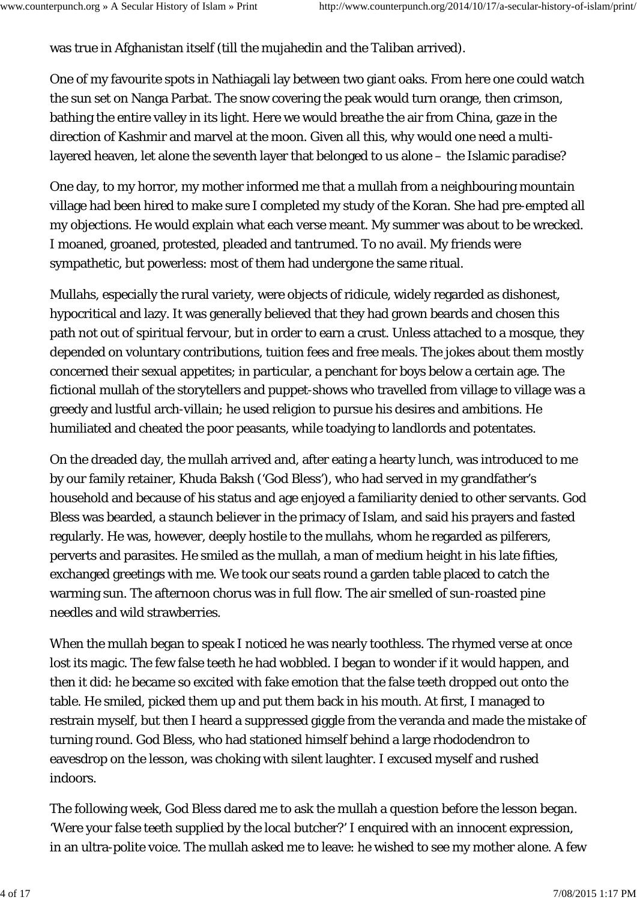was true in Afghanistan itself (till the mujahedin and the Taliban arrived).

One of my favourite spots in Nathiagali lay between two giant oaks. From here one could watch the sun set on Nanga Parbat. The snow covering the peak would turn orange, then crimson, bathing the entire valley in its light. Here we would breathe the air from China, gaze in the direction of Kashmir and marvel at the moon. Given all this, why would one need a multilayered heaven, let alone the seventh layer that belonged to us alone – the Islamic paradise?

One day, to my horror, my mother informed me that a mullah from a neighbouring mountain village had been hired to make sure I completed my study of the Koran. She had pre-empted all my objections. He would explain what each verse meant. My summer was about to be wrecked. I moaned, groaned, protested, pleaded and tantrumed. To no avail. My friends were sympathetic, but powerless: most of them had undergone the same ritual.

Mullahs, especially the rural variety, were objects of ridicule, widely regarded as dishonest, hypocritical and lazy. It was generally believed that they had grown beards and chosen this path not out of spiritual fervour, but in order to earn a crust. Unless attached to a mosque, they depended on voluntary contributions, tuition fees and free meals. The jokes about them mostly concerned their sexual appetites; in particular, a penchant for boys below a certain age. The fictional mullah of the storytellers and puppet-shows who travelled from village to village was a greedy and lustful arch-villain; he used religion to pursue his desires and ambitions. He humiliated and cheated the poor peasants, while toadying to landlords and potentates.

On the dreaded day, the mullah arrived and, after eating a hearty lunch, was introduced to me by our family retainer, Khuda Baksh ('God Bless'), who had served in my grandfather's household and because of his status and age enjoyed a familiarity denied to other servants. God Bless was bearded, a staunch believer in the primacy of Islam, and said his prayers and fasted regularly. He was, however, deeply hostile to the mullahs, whom he regarded as pilferers, perverts and parasites. He smiled as the mullah, a man of medium height in his late fifties, exchanged greetings with me. We took our seats round a garden table placed to catch the warming sun. The afternoon chorus was in full flow. The air smelled of sun-roasted pine needles and wild strawberries.

When the mullah began to speak I noticed he was nearly toothless. The rhymed verse at once lost its magic. The few false teeth he had wobbled. I began to wonder if it would happen, and then it did: he became so excited with fake emotion that the false teeth dropped out onto the table. He smiled, picked them up and put them back in his mouth. At first, I managed to restrain myself, but then I heard a suppressed giggle from the veranda and made the mistake of turning round. God Bless, who had stationed himself behind a large rhododendron to eavesdrop on the lesson, was choking with silent laughter. I excused myself and rushed indoors.

The following week, God Bless dared me to ask the mullah a question before the lesson began. 'Were your false teeth supplied by the local butcher?' I enquired with an innocent expression, in an ultra-polite voice. The mullah asked me to leave: he wished to see my mother alone. A few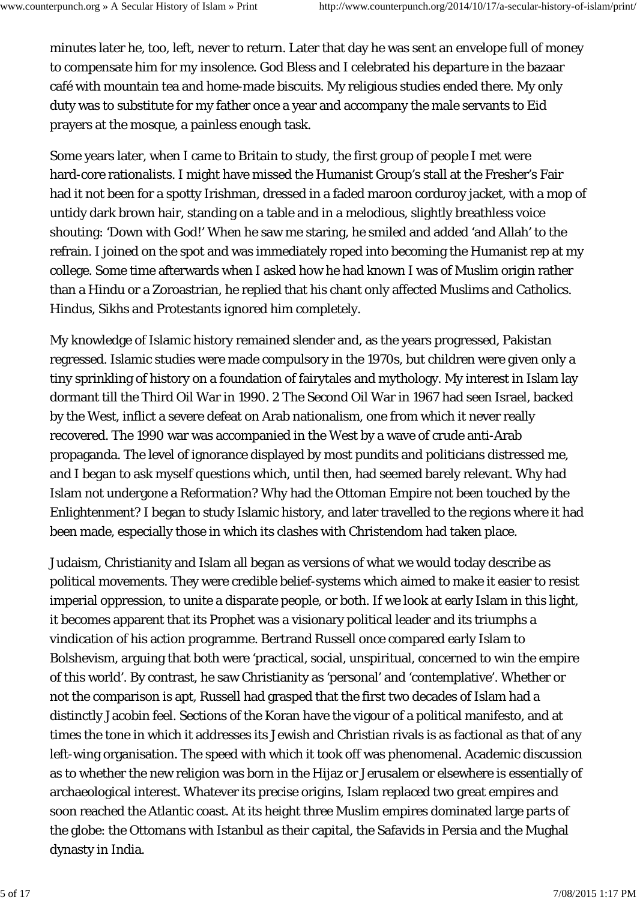minutes later he, too, left, never to return. Later that day he was sent an envelope full of money to compensate him for my insolence. God Bless and I celebrated his departure in the bazaar café with mountain tea and home-made biscuits. My religious studies ended there. My only duty was to substitute for my father once a year and accompany the male servants to Eid prayers at the mosque, a painless enough task.

Some years later, when I came to Britain to study, the first group of people I met were hard-core rationalists. I might have missed the Humanist Group's stall at the Fresher's Fair had it not been for a spotty Irishman, dressed in a faded maroon corduroy jacket, with a mop of untidy dark brown hair, standing on a table and in a melodious, slightly breathless voice shouting: 'Down with God!' When he saw me staring, he smiled and added 'and Allah' to the refrain. I joined on the spot and was immediately roped into becoming the Humanist rep at my college. Some time afterwards when I asked how he had known I was of Muslim origin rather than a Hindu or a Zoroastrian, he replied that his chant only affected Muslims and Catholics. Hindus, Sikhs and Protestants ignored him completely.

My knowledge of Islamic history remained slender and, as the years progressed, Pakistan regressed. Islamic studies were made compulsory in the 1970s, but children were given only a tiny sprinkling of history on a foundation of fairytales and mythology. My interest in Islam lay dormant till the Third Oil War in 1990. 2 The Second Oil War in 1967 had seen Israel, backed by the West, inflict a severe defeat on Arab nationalism, one from which it never really recovered. The 1990 war was accompanied in the West by a wave of crude anti-Arab propaganda. The level of ignorance displayed by most pundits and politicians distressed me, and I began to ask myself questions which, until then, had seemed barely relevant. Why had Islam not undergone a Reformation? Why had the Ottoman Empire not been touched by the Enlightenment? I began to study Islamic history, and later travelled to the regions where it had been made, especially those in which its clashes with Christendom had taken place.

Judaism, Christianity and Islam all began as versions of what we would today describe as political movements. They were credible belief-systems which aimed to make it easier to resist imperial oppression, to unite a disparate people, or both. If we look at early Islam in this light, it becomes apparent that its Prophet was a visionary political leader and its triumphs a vindication of his action programme. Bertrand Russell once compared early Islam to Bolshevism, arguing that both were 'practical, social, unspiritual, concerned to win the empire of this world'. By contrast, he saw Christianity as 'personal' and 'contemplative'. Whether or not the comparison is apt, Russell had grasped that the first two decades of Islam had a distinctly Jacobin feel. Sections of the Koran have the vigour of a political manifesto, and at times the tone in which it addresses its Jewish and Christian rivals is as factional as that of any left-wing organisation. The speed with which it took off was phenomenal. Academic discussion as to whether the new religion was born in the Hijaz or Jerusalem or elsewhere is essentially of archaeological interest. Whatever its precise origins, Islam replaced two great empires and soon reached the Atlantic coast. At its height three Muslim empires dominated large parts of the globe: the Ottomans with Istanbul as their capital, the Safavids in Persia and the Mughal dynasty in India.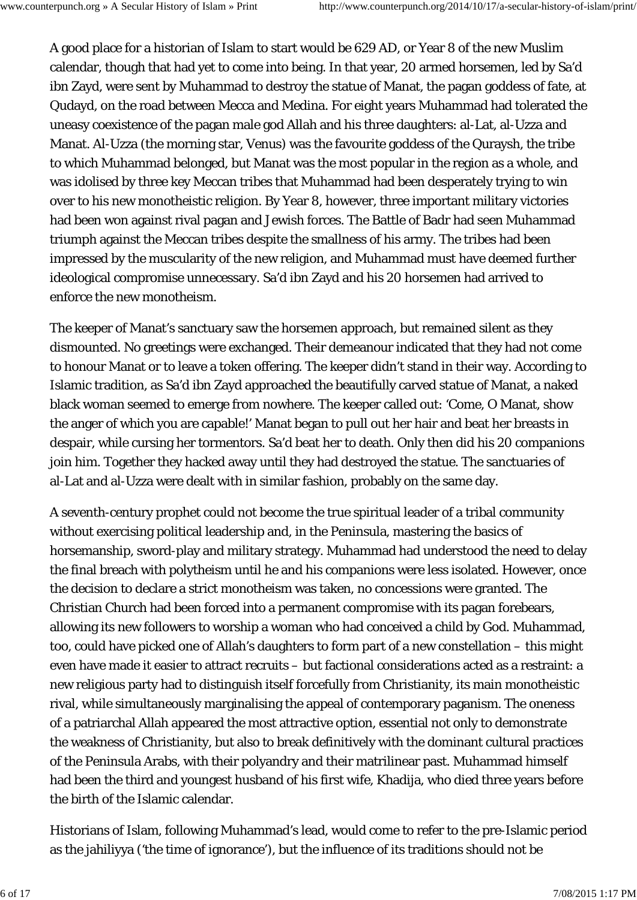A good place for a historian of Islam to start would be 629 AD, or Year 8 of the new Muslim calendar, though that had yet to come into being. In that year, 20 armed horsemen, led by Sa'd ibn Zayd, were sent by Muhammad to destroy the statue of Manat, the pagan goddess of fate, at Qudayd, on the road between Mecca and Medina. For eight years Muhammad had tolerated the uneasy coexistence of the pagan male god Allah and his three daughters: al-Lat, al-Uzza and Manat. Al-Uzza (the morning star, Venus) was the favourite goddess of the Quraysh, the tribe to which Muhammad belonged, but Manat was the most popular in the region as a whole, and was idolised by three key Meccan tribes that Muhammad had been desperately trying to win over to his new monotheistic religion. By Year 8, however, three important military victories had been won against rival pagan and Jewish forces. The Battle of Badr had seen Muhammad triumph against the Meccan tribes despite the smallness of his army. The tribes had been impressed by the muscularity of the new religion, and Muhammad must have deemed further ideological compromise unnecessary. Sa'd ibn Zayd and his 20 horsemen had arrived to enforce the new monotheism.

The keeper of Manat's sanctuary saw the horsemen approach, but remained silent as they dismounted. No greetings were exchanged. Their demeanour indicated that they had not come to honour Manat or to leave a token offering. The keeper didn't stand in their way. According to Islamic tradition, as Sa'd ibn Zayd approached the beautifully carved statue of Manat, a naked black woman seemed to emerge from nowhere. The keeper called out: 'Come, O Manat, show the anger of which you are capable!' Manat began to pull out her hair and beat her breasts in despair, while cursing her tormentors. Sa'd beat her to death. Only then did his 20 companions join him. Together they hacked away until they had destroyed the statue. The sanctuaries of al-Lat and al-Uzza were dealt with in similar fashion, probably on the same day.

A seventh-century prophet could not become the true spiritual leader of a tribal community without exercising political leadership and, in the Peninsula, mastering the basics of horsemanship, sword-play and military strategy. Muhammad had understood the need to delay the final breach with polytheism until he and his companions were less isolated. However, once the decision to declare a strict monotheism was taken, no concessions were granted. The Christian Church had been forced into a permanent compromise with its pagan forebears, allowing its new followers to worship a woman who had conceived a child by God. Muhammad, too, could have picked one of Allah's daughters to form part of a new constellation – this might even have made it easier to attract recruits – but factional considerations acted as a restraint: a new religious party had to distinguish itself forcefully from Christianity, its main monotheistic rival, while simultaneously marginalising the appeal of contemporary paganism. The oneness of a patriarchal Allah appeared the most attractive option, essential not only to demonstrate the weakness of Christianity, but also to break definitively with the dominant cultural practices of the Peninsula Arabs, with their polyandry and their matrilinear past. Muhammad himself had been the third and youngest husband of his first wife, Khadija, who died three years before the birth of the Islamic calendar.

Historians of Islam, following Muhammad's lead, would come to refer to the pre-Islamic period as the jahiliyya ('the time of ignorance'), but the influence of its traditions should not be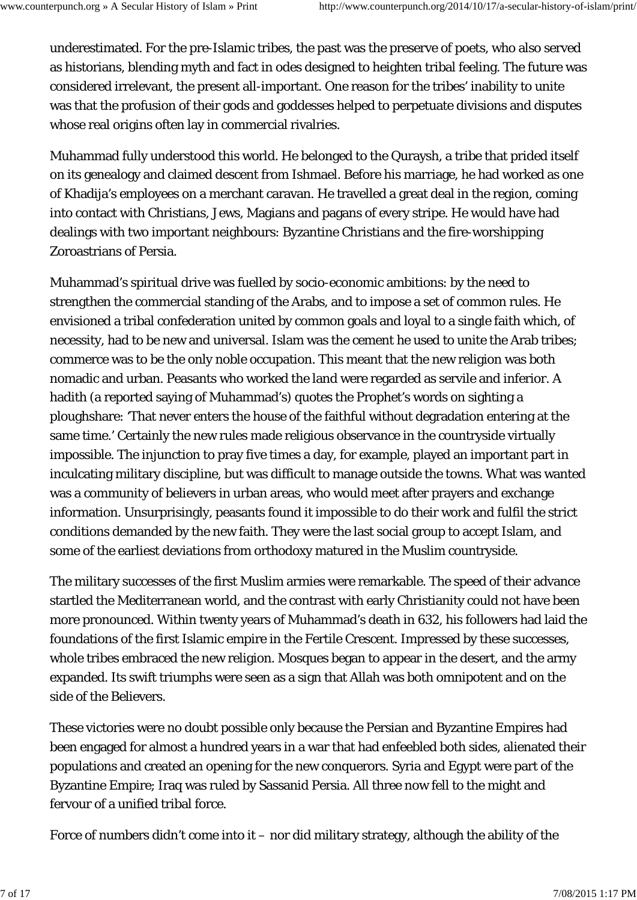underestimated. For the pre-Islamic tribes, the past was the preserve of poets, who also served as historians, blending myth and fact in odes designed to heighten tribal feeling. The future was considered irrelevant, the present all-important. One reason for the tribes' inability to unite was that the profusion of their gods and goddesses helped to perpetuate divisions and disputes whose real origins often lay in commercial rivalries.

Muhammad fully understood this world. He belonged to the Quraysh, a tribe that prided itself on its genealogy and claimed descent from Ishmael. Before his marriage, he had worked as one of Khadija's employees on a merchant caravan. He travelled a great deal in the region, coming into contact with Christians, Jews, Magians and pagans of every stripe. He would have had dealings with two important neighbours: Byzantine Christians and the fire-worshipping Zoroastrians of Persia.

Muhammad's spiritual drive was fuelled by socio-economic ambitions: by the need to strengthen the commercial standing of the Arabs, and to impose a set of common rules. He envisioned a tribal confederation united by common goals and loyal to a single faith which, of necessity, had to be new and universal. Islam was the cement he used to unite the Arab tribes; commerce was to be the only noble occupation. This meant that the new religion was both nomadic and urban. Peasants who worked the land were regarded as servile and inferior. A hadith (a reported saying of Muhammad's) quotes the Prophet's words on sighting a ploughshare: 'That never enters the house of the faithful without degradation entering at the same time.' Certainly the new rules made religious observance in the countryside virtually impossible. The injunction to pray five times a day, for example, played an important part in inculcating military discipline, but was difficult to manage outside the towns. What was wanted was a community of believers in urban areas, who would meet after prayers and exchange information. Unsurprisingly, peasants found it impossible to do their work and fulfil the strict conditions demanded by the new faith. They were the last social group to accept Islam, and some of the earliest deviations from orthodoxy matured in the Muslim countryside.

The military successes of the first Muslim armies were remarkable. The speed of their advance startled the Mediterranean world, and the contrast with early Christianity could not have been more pronounced. Within twenty years of Muhammad's death in 632, his followers had laid the foundations of the first Islamic empire in the Fertile Crescent. Impressed by these successes, whole tribes embraced the new religion. Mosques began to appear in the desert, and the army expanded. Its swift triumphs were seen as a sign that Allah was both omnipotent and on the side of the Believers.

These victories were no doubt possible only because the Persian and Byzantine Empires had been engaged for almost a hundred years in a war that had enfeebled both sides, alienated their populations and created an opening for the new conquerors. Syria and Egypt were part of the Byzantine Empire; Iraq was ruled by Sassanid Persia. All three now fell to the might and fervour of a unified tribal force.

Force of numbers didn't come into it – nor did military strategy, although the ability of the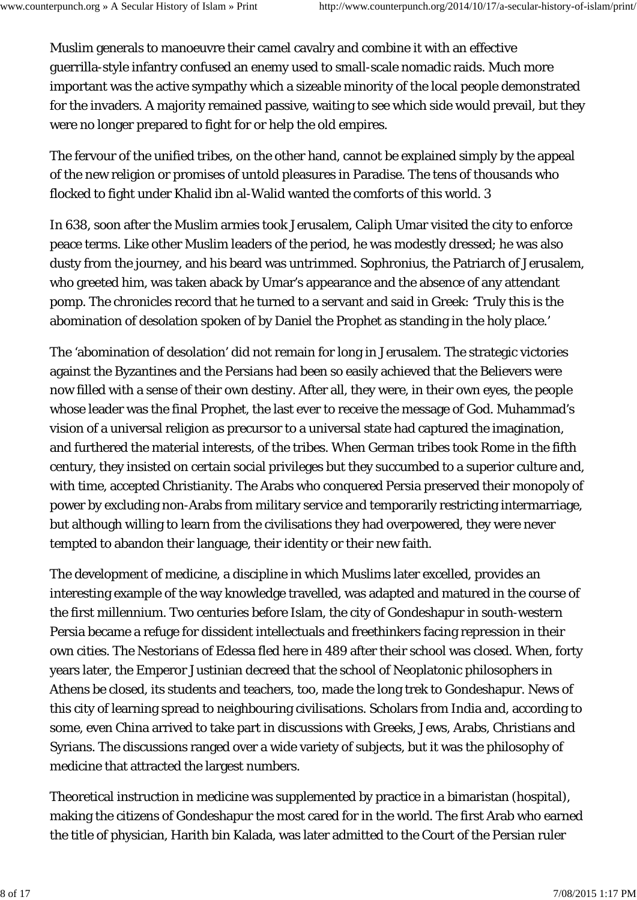Muslim generals to manoeuvre their camel cavalry and combine it with an effective guerrilla-style infantry confused an enemy used to small-scale nomadic raids. Much more important was the active sympathy which a sizeable minority of the local people demonstrated for the invaders. A majority remained passive, waiting to see which side would prevail, but they were no longer prepared to fight for or help the old empires.

The fervour of the unified tribes, on the other hand, cannot be explained simply by the appeal of the new religion or promises of untold pleasures in Paradise. The tens of thousands who flocked to fight under Khalid ibn al-Walid wanted the comforts of this world. 3

In 638, soon after the Muslim armies took Jerusalem, Caliph Umar visited the city to enforce peace terms. Like other Muslim leaders of the period, he was modestly dressed; he was also dusty from the journey, and his beard was untrimmed. Sophronius, the Patriarch of Jerusalem, who greeted him, was taken aback by Umar's appearance and the absence of any attendant pomp. The chronicles record that he turned to a servant and said in Greek: 'Truly this is the abomination of desolation spoken of by Daniel the Prophet as standing in the holy place.'

The 'abomination of desolation' did not remain for long in Jerusalem. The strategic victories against the Byzantines and the Persians had been so easily achieved that the Believers were now filled with a sense of their own destiny. After all, they were, in their own eyes, the people whose leader was the final Prophet, the last ever to receive the message of God. Muhammad's vision of a universal religion as precursor to a universal state had captured the imagination, and furthered the material interests, of the tribes. When German tribes took Rome in the fifth century, they insisted on certain social privileges but they succumbed to a superior culture and, with time, accepted Christianity. The Arabs who conquered Persia preserved their monopoly of power by excluding non-Arabs from military service and temporarily restricting intermarriage, but although willing to learn from the civilisations they had overpowered, they were never tempted to abandon their language, their identity or their new faith.

The development of medicine, a discipline in which Muslims later excelled, provides an interesting example of the way knowledge travelled, was adapted and matured in the course of the first millennium. Two centuries before Islam, the city of Gondeshapur in south-western Persia became a refuge for dissident intellectuals and freethinkers facing repression in their own cities. The Nestorians of Edessa fled here in 489 after their school was closed. When, forty years later, the Emperor Justinian decreed that the school of Neoplatonic philosophers in Athens be closed, its students and teachers, too, made the long trek to Gondeshapur. News of this city of learning spread to neighbouring civilisations. Scholars from India and, according to some, even China arrived to take part in discussions with Greeks, Jews, Arabs, Christians and Syrians. The discussions ranged over a wide variety of subjects, but it was the philosophy of medicine that attracted the largest numbers.

Theoretical instruction in medicine was supplemented by practice in a bimaristan (hospital), making the citizens of Gondeshapur the most cared for in the world. The first Arab who earned the title of physician, Harith bin Kalada, was later admitted to the Court of the Persian ruler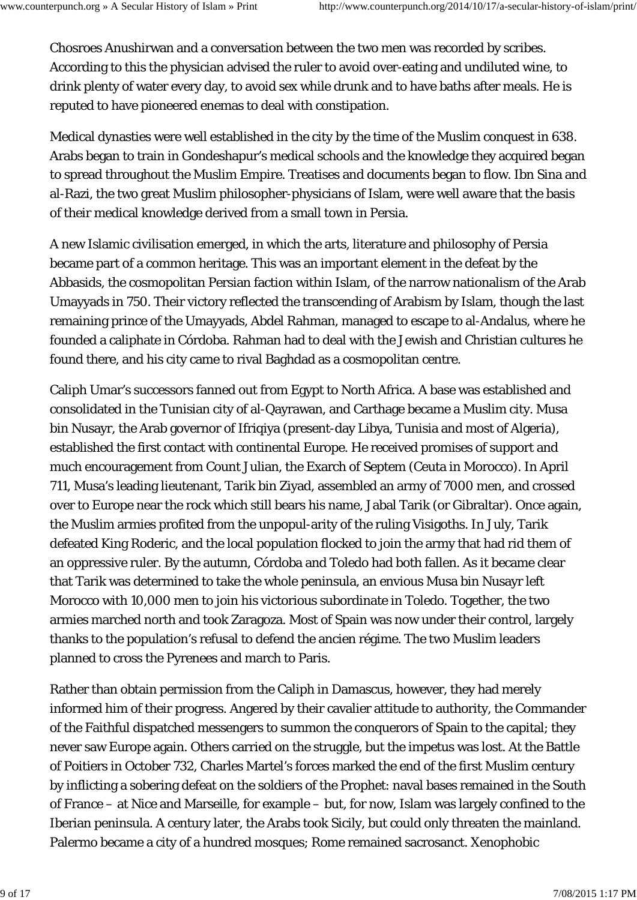Chosroes Anushirwan and a conversation between the two men was recorded by scribes. According to this the physician advised the ruler to avoid over-eating and undiluted wine, to drink plenty of water every day, to avoid sex while drunk and to have baths after meals. He is reputed to have pioneered enemas to deal with constipation.

Medical dynasties were well established in the city by the time of the Muslim conquest in 638. Arabs began to train in Gondeshapur's medical schools and the knowledge they acquired began to spread throughout the Muslim Empire. Treatises and documents began to flow. Ibn Sina and al-Razi, the two great Muslim philosopher-physicians of Islam, were well aware that the basis of their medical knowledge derived from a small town in Persia.

A new Islamic civilisation emerged, in which the arts, literature and philosophy of Persia became part of a common heritage. This was an important element in the defeat by the Abbasids, the cosmopolitan Persian faction within Islam, of the narrow nationalism of the Arab Umayyads in 750. Their victory reflected the transcending of Arabism by Islam, though the last remaining prince of the Umayyads, Abdel Rahman, managed to escape to al-Andalus, where he founded a caliphate in Córdoba. Rahman had to deal with the Jewish and Christian cultures he found there, and his city came to rival Baghdad as a cosmopolitan centre.

Caliph Umar's successors fanned out from Egypt to North Africa. A base was established and consolidated in the Tunisian city of al-Qayrawan, and Carthage became a Muslim city. Musa bin Nusayr, the Arab governor of Ifriqiya (present-day Libya, Tunisia and most of Algeria), established the first contact with continental Europe. He received promises of support and much encouragement from Count Julian, the Exarch of Septem (Ceuta in Morocco). In April 711, Musa's leading lieutenant, Tarik bin Ziyad, assembled an army of 7000 men, and crossed over to Europe near the rock which still bears his name, Jabal Tarik (or Gibraltar). Once again, the Muslim armies profited from the unpopul-arity of the ruling Visigoths. In July, Tarik defeated King Roderic, and the local population flocked to join the army that had rid them of an oppressive ruler. By the autumn, Córdoba and Toledo had both fallen. As it became clear that Tarik was determined to take the whole peninsula, an envious Musa bin Nusayr left Morocco with 10,000 men to join his victorious subordinate in Toledo. Together, the two armies marched north and took Zaragoza. Most of Spain was now under their control, largely thanks to the population's refusal to defend the ancien régime. The two Muslim leaders planned to cross the Pyrenees and march to Paris.

Rather than obtain permission from the Caliph in Damascus, however, they had merely informed him of their progress. Angered by their cavalier attitude to authority, the Commander of the Faithful dispatched messengers to summon the conquerors of Spain to the capital; they never saw Europe again. Others carried on the struggle, but the impetus was lost. At the Battle of Poitiers in October 732, Charles Martel's forces marked the end of the first Muslim century by inflicting a sobering defeat on the soldiers of the Prophet: naval bases remained in the South of France – at Nice and Marseille, for example – but, for now, Islam was largely confined to the Iberian peninsula. A century later, the Arabs took Sicily, but could only threaten the mainland. Palermo became a city of a hundred mosques; Rome remained sacrosanct. Xenophobic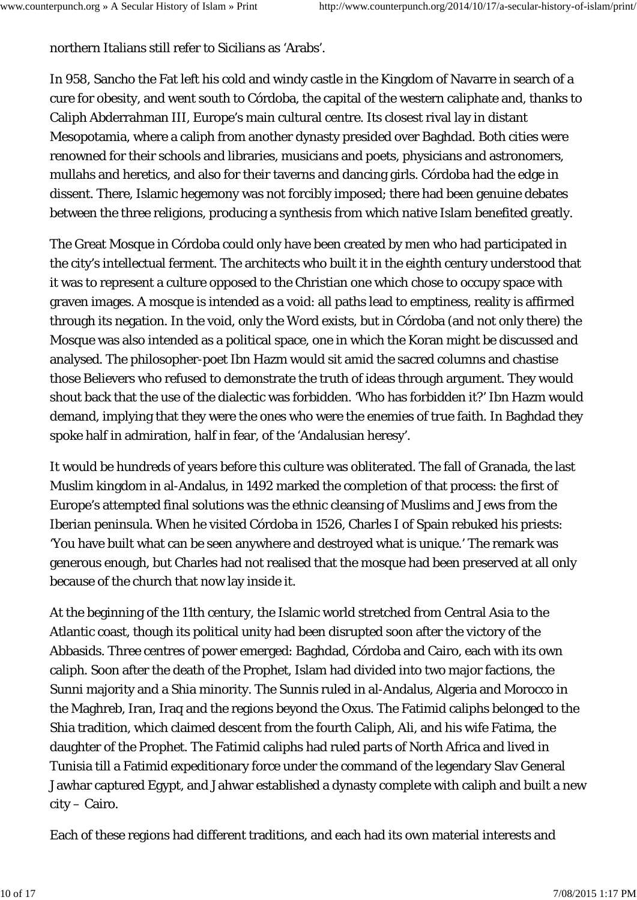northern Italians still refer to Sicilians as 'Arabs'.

In 958, Sancho the Fat left his cold and windy castle in the Kingdom of Navarre in search of a cure for obesity, and went south to Córdoba, the capital of the western caliphate and, thanks to Caliph Abderrahman III, Europe's main cultural centre. Its closest rival lay in distant Mesopotamia, where a caliph from another dynasty presided over Baghdad. Both cities were renowned for their schools and libraries, musicians and poets, physicians and astronomers, mullahs and heretics, and also for their taverns and dancing girls. Córdoba had the edge in dissent. There, Islamic hegemony was not forcibly imposed; there had been genuine debates between the three religions, producing a synthesis from which native Islam benefited greatly.

The Great Mosque in Córdoba could only have been created by men who had participated in the city's intellectual ferment. The architects who built it in the eighth century understood that it was to represent a culture opposed to the Christian one which chose to occupy space with graven images. A mosque is intended as a void: all paths lead to emptiness, reality is affirmed through its negation. In the void, only the Word exists, but in Córdoba (and not only there) the Mosque was also intended as a political space, one in which the Koran might be discussed and analysed. The philosopher-poet Ibn Hazm would sit amid the sacred columns and chastise those Believers who refused to demonstrate the truth of ideas through argument. They would shout back that the use of the dialectic was forbidden. 'Who has forbidden it?' Ibn Hazm would demand, implying that they were the ones who were the enemies of true faith. In Baghdad they spoke half in admiration, half in fear, of the 'Andalusian heresy'.

It would be hundreds of years before this culture was obliterated. The fall of Granada, the last Muslim kingdom in al-Andalus, in 1492 marked the completion of that process: the first of Europe's attempted final solutions was the ethnic cleansing of Muslims and Jews from the Iberian peninsula. When he visited Córdoba in 1526, Charles I of Spain rebuked his priests: 'You have built what can be seen anywhere and destroyed what is unique.' The remark was generous enough, but Charles had not realised that the mosque had been preserved at all only because of the church that now lay inside it.

At the beginning of the 11th century, the Islamic world stretched from Central Asia to the Atlantic coast, though its political unity had been disrupted soon after the victory of the Abbasids. Three centres of power emerged: Baghdad, Córdoba and Cairo, each with its own caliph. Soon after the death of the Prophet, Islam had divided into two major factions, the Sunni majority and a Shia minority. The Sunnis ruled in al-Andalus, Algeria and Morocco in the Maghreb, Iran, Iraq and the regions beyond the Oxus. The Fatimid caliphs belonged to the Shia tradition, which claimed descent from the fourth Caliph, Ali, and his wife Fatima, the daughter of the Prophet. The Fatimid caliphs had ruled parts of North Africa and lived in Tunisia till a Fatimid expeditionary force under the command of the legendary Slav General Jawhar captured Egypt, and Jahwar established a dynasty complete with caliph and built a new city – Cairo.

Each of these regions had different traditions, and each had its own material interests and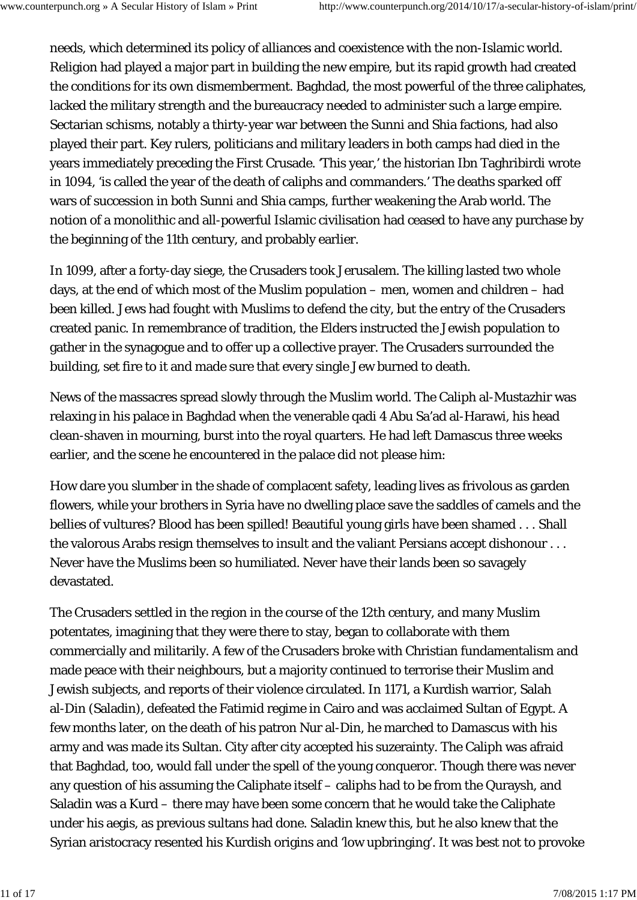needs, which determined its policy of alliances and coexistence with the non-Islamic world. Religion had played a major part in building the new empire, but its rapid growth had created the conditions for its own dismemberment. Baghdad, the most powerful of the three caliphates, lacked the military strength and the bureaucracy needed to administer such a large empire. Sectarian schisms, notably a thirty-year war between the Sunni and Shia factions, had also played their part. Key rulers, politicians and military leaders in both camps had died in the years immediately preceding the First Crusade. 'This year,' the historian Ibn Taghribirdi wrote in 1094, 'is called the year of the death of caliphs and commanders.' The deaths sparked off wars of succession in both Sunni and Shia camps, further weakening the Arab world. The notion of a monolithic and all-powerful Islamic civilisation had ceased to have any purchase by the beginning of the 11th century, and probably earlier.

In 1099, after a forty-day siege, the Crusaders took Jerusalem. The killing lasted two whole days, at the end of which most of the Muslim population – men, women and children – had been killed. Jews had fought with Muslims to defend the city, but the entry of the Crusaders created panic. In remembrance of tradition, the Elders instructed the Jewish population to gather in the synagogue and to offer up a collective prayer. The Crusaders surrounded the building, set fire to it and made sure that every single Jew burned to death.

News of the massacres spread slowly through the Muslim world. The Caliph al-Mustazhir was relaxing in his palace in Baghdad when the venerable qadi 4 Abu Sa'ad al-Harawi, his head clean-shaven in mourning, burst into the royal quarters. He had left Damascus three weeks earlier, and the scene he encountered in the palace did not please him:

How dare you slumber in the shade of complacent safety, leading lives as frivolous as garden flowers, while your brothers in Syria have no dwelling place save the saddles of camels and the bellies of vultures? Blood has been spilled! Beautiful young girls have been shamed . . . Shall the valorous Arabs resign themselves to insult and the valiant Persians accept dishonour . . . Never have the Muslims been so humiliated. Never have their lands been so savagely devastated.

The Crusaders settled in the region in the course of the 12th century, and many Muslim potentates, imagining that they were there to stay, began to collaborate with them commercially and militarily. A few of the Crusaders broke with Christian fundamentalism and made peace with their neighbours, but a majority continued to terrorise their Muslim and Jewish subjects, and reports of their violence circulated. In 1171, a Kurdish warrior, Salah al-Din (Saladin), defeated the Fatimid regime in Cairo and was acclaimed Sultan of Egypt. A few months later, on the death of his patron Nur al-Din, he marched to Damascus with his army and was made its Sultan. City after city accepted his suzerainty. The Caliph was afraid that Baghdad, too, would fall under the spell of the young conqueror. Though there was never any question of his assuming the Caliphate itself – caliphs had to be from the Quraysh, and Saladin was a Kurd – there may have been some concern that he would take the Caliphate under his aegis, as previous sultans had done. Saladin knew this, but he also knew that the Syrian aristocracy resented his Kurdish origins and 'low upbringing'. It was best not to provoke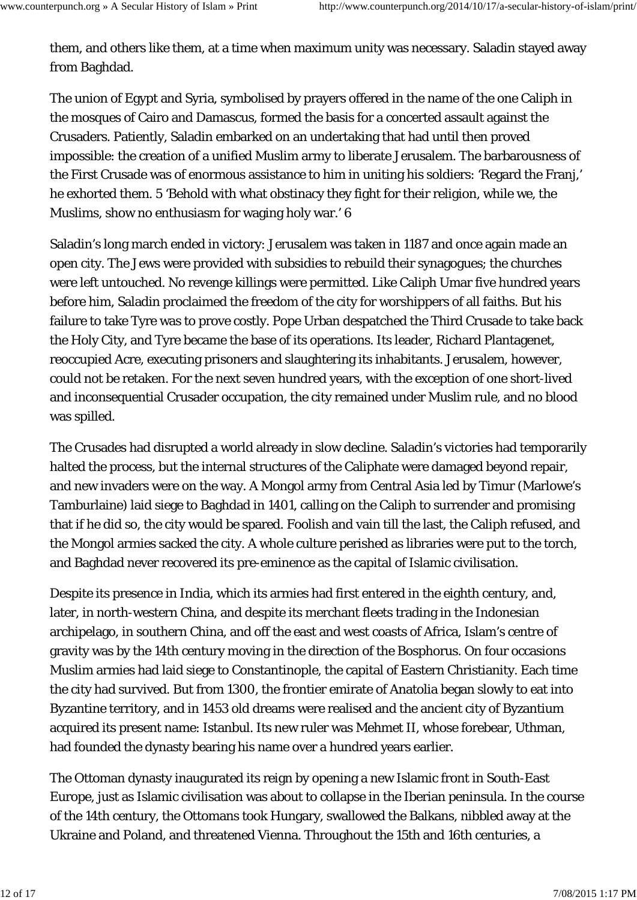them, and others like them, at a time when maximum unity was necessary. Saladin stayed away from Baghdad.

The union of Egypt and Syria, symbolised by prayers offered in the name of the one Caliph in the mosques of Cairo and Damascus, formed the basis for a concerted assault against the Crusaders. Patiently, Saladin embarked on an undertaking that had until then proved impossible: the creation of a unified Muslim army to liberate Jerusalem. The barbarousness of the First Crusade was of enormous assistance to him in uniting his soldiers: 'Regard the Franj,' he exhorted them. 5 'Behold with what obstinacy they fight for their religion, while we, the Muslims, show no enthusiasm for waging holy war.' 6

Saladin's long march ended in victory: Jerusalem was taken in 1187 and once again made an open city. The Jews were provided with subsidies to rebuild their synagogues; the churches were left untouched. No revenge killings were permitted. Like Caliph Umar five hundred years before him, Saladin proclaimed the freedom of the city for worshippers of all faiths. But his failure to take Tyre was to prove costly. Pope Urban despatched the Third Crusade to take back the Holy City, and Tyre became the base of its operations. Its leader, Richard Plantagenet, reoccupied Acre, executing prisoners and slaughtering its inhabitants. Jerusalem, however, could not be retaken. For the next seven hundred years, with the exception of one short-lived and inconsequential Crusader occupation, the city remained under Muslim rule, and no blood was spilled.

The Crusades had disrupted a world already in slow decline. Saladin's victories had temporarily halted the process, but the internal structures of the Caliphate were damaged beyond repair, and new invaders were on the way. A Mongol army from Central Asia led by Timur (Marlowe's Tamburlaine) laid siege to Baghdad in 1401, calling on the Caliph to surrender and promising that if he did so, the city would be spared. Foolish and vain till the last, the Caliph refused, and the Mongol armies sacked the city. A whole culture perished as libraries were put to the torch, and Baghdad never recovered its pre-eminence as the capital of Islamic civilisation.

Despite its presence in India, which its armies had first entered in the eighth century, and, later, in north-western China, and despite its merchant fleets trading in the Indonesian archipelago, in southern China, and off the east and west coasts of Africa, Islam's centre of gravity was by the 14th century moving in the direction of the Bosphorus. On four occasions Muslim armies had laid siege to Constantinople, the capital of Eastern Christianity. Each time the city had survived. But from 1300, the frontier emirate of Anatolia began slowly to eat into Byzantine territory, and in 1453 old dreams were realised and the ancient city of Byzantium acquired its present name: Istanbul. Its new ruler was Mehmet II, whose forebear, Uthman, had founded the dynasty bearing his name over a hundred years earlier.

The Ottoman dynasty inaugurated its reign by opening a new Islamic front in South-East Europe, just as Islamic civilisation was about to collapse in the Iberian peninsula. In the course of the 14th century, the Ottomans took Hungary, swallowed the Balkans, nibbled away at the Ukraine and Poland, and threatened Vienna. Throughout the 15th and 16th centuries, a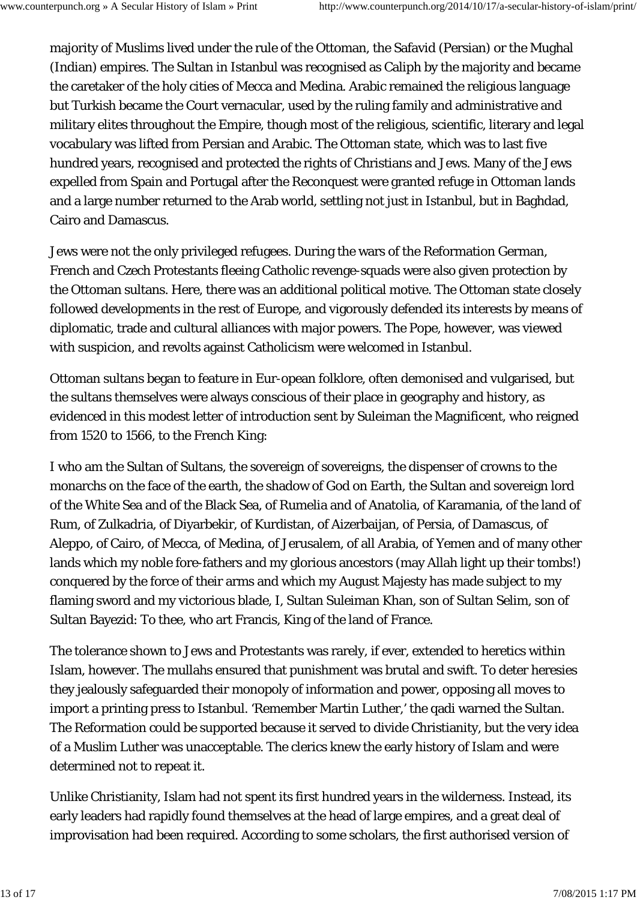majority of Muslims lived under the rule of the Ottoman, the Safavid (Persian) or the Mughal (Indian) empires. The Sultan in Istanbul was recognised as Caliph by the majority and became the caretaker of the holy cities of Mecca and Medina. Arabic remained the religious language but Turkish became the Court vernacular, used by the ruling family and administrative and military elites throughout the Empire, though most of the religious, scientific, literary and legal vocabulary was lifted from Persian and Arabic. The Ottoman state, which was to last five hundred years, recognised and protected the rights of Christians and Jews. Many of the Jews expelled from Spain and Portugal after the Reconquest were granted refuge in Ottoman lands and a large number returned to the Arab world, settling not just in Istanbul, but in Baghdad, Cairo and Damascus.

Jews were not the only privileged refugees. During the wars of the Reformation German, French and Czech Protestants fleeing Catholic revenge-squads were also given protection by the Ottoman sultans. Here, there was an additional political motive. The Ottoman state closely followed developments in the rest of Europe, and vigorously defended its interests by means of diplomatic, trade and cultural alliances with major powers. The Pope, however, was viewed with suspicion, and revolts against Catholicism were welcomed in Istanbul.

Ottoman sultans began to feature in Eur-opean folklore, often demonised and vulgarised, but the sultans themselves were always conscious of their place in geography and history, as evidenced in this modest letter of introduction sent by Suleiman the Magnificent, who reigned from 1520 to 1566, to the French King:

I who am the Sultan of Sultans, the sovereign of sovereigns, the dispenser of crowns to the monarchs on the face of the earth, the shadow of God on Earth, the Sultan and sovereign lord of the White Sea and of the Black Sea, of Rumelia and of Anatolia, of Karamania, of the land of Rum, of Zulkadria, of Diyarbekir, of Kurdistan, of Aizerbaijan, of Persia, of Damascus, of Aleppo, of Cairo, of Mecca, of Medina, of Jerusalem, of all Arabia, of Yemen and of many other lands which my noble fore-fathers and my glorious ancestors (may Allah light up their tombs!) conquered by the force of their arms and which my August Majesty has made subject to my flaming sword and my victorious blade, I, Sultan Suleiman Khan, son of Sultan Selim, son of Sultan Bayezid: To thee, who art Francis, King of the land of France.

The tolerance shown to Jews and Protestants was rarely, if ever, extended to heretics within Islam, however. The mullahs ensured that punishment was brutal and swift. To deter heresies they jealously safeguarded their monopoly of information and power, opposing all moves to import a printing press to Istanbul. 'Remember Martin Luther,' the qadi warned the Sultan. The Reformation could be supported because it served to divide Christianity, but the very idea of a Muslim Luther was unacceptable. The clerics knew the early history of Islam and were determined not to repeat it.

Unlike Christianity, Islam had not spent its first hundred years in the wilderness. Instead, its early leaders had rapidly found themselves at the head of large empires, and a great deal of improvisation had been required. According to some scholars, the first authorised version of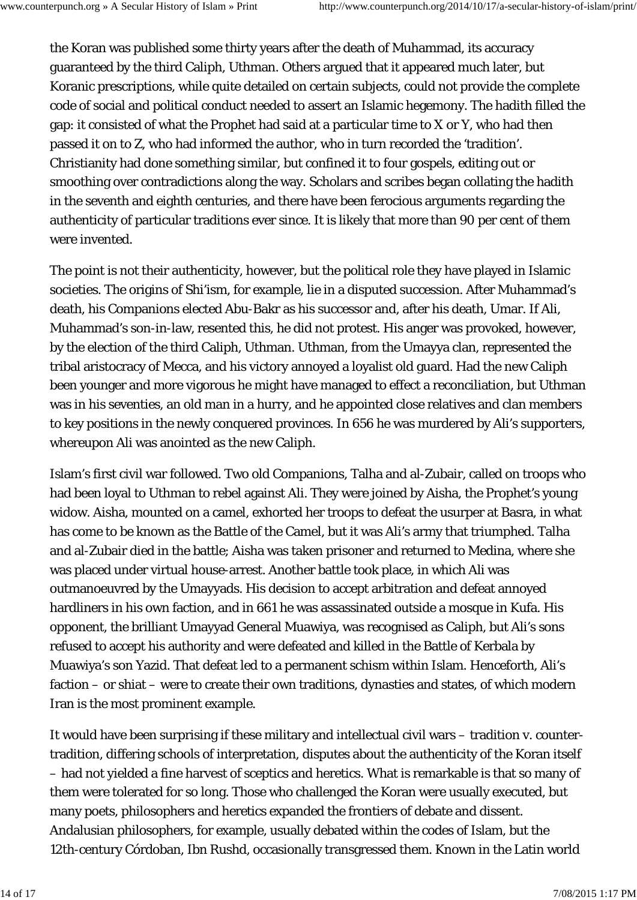the Koran was published some thirty years after the death of Muhammad, its accuracy guaranteed by the third Caliph, Uthman. Others argued that it appeared much later, but Koranic prescriptions, while quite detailed on certain subjects, could not provide the complete code of social and political conduct needed to assert an Islamic hegemony. The hadith filled the gap: it consisted of what the Prophet had said at a particular time to X or Y, who had then passed it on to Z, who had informed the author, who in turn recorded the 'tradition'. Christianity had done something similar, but confined it to four gospels, editing out or smoothing over contradictions along the way. Scholars and scribes began collating the hadith in the seventh and eighth centuries, and there have been ferocious arguments regarding the authenticity of particular traditions ever since. It is likely that more than 90 per cent of them were invented.

The point is not their authenticity, however, but the political role they have played in Islamic societies. The origins of Shi'ism, for example, lie in a disputed succession. After Muhammad's death, his Companions elected Abu-Bakr as his successor and, after his death, Umar. If Ali, Muhammad's son-in-law, resented this, he did not protest. His anger was provoked, however, by the election of the third Caliph, Uthman. Uthman, from the Umayya clan, represented the tribal aristocracy of Mecca, and his victory annoyed a loyalist old guard. Had the new Caliph been younger and more vigorous he might have managed to effect a reconciliation, but Uthman was in his seventies, an old man in a hurry, and he appointed close relatives and clan members to key positions in the newly conquered provinces. In 656 he was murdered by Ali's supporters, whereupon Ali was anointed as the new Caliph.

Islam's first civil war followed. Two old Companions, Talha and al-Zubair, called on troops who had been loyal to Uthman to rebel against Ali. They were joined by Aisha, the Prophet's young widow. Aisha, mounted on a camel, exhorted her troops to defeat the usurper at Basra, in what has come to be known as the Battle of the Camel, but it was Ali's army that triumphed. Talha and al-Zubair died in the battle; Aisha was taken prisoner and returned to Medina, where she was placed under virtual house-arrest. Another battle took place, in which Ali was outmanoeuvred by the Umayyads. His decision to accept arbitration and defeat annoyed hardliners in his own faction, and in 661 he was assassinated outside a mosque in Kufa. His opponent, the brilliant Umayyad General Muawiya, was recognised as Caliph, but Ali's sons refused to accept his authority and were defeated and killed in the Battle of Kerbala by Muawiya's son Yazid. That defeat led to a permanent schism within Islam. Henceforth, Ali's faction – or shiat – were to create their own traditions, dynasties and states, of which modern Iran is the most prominent example.

It would have been surprising if these military and intellectual civil wars – tradition v. countertradition, differing schools of interpretation, disputes about the authenticity of the Koran itself – had not yielded a fine harvest of sceptics and heretics. What is remarkable is that so many of them were tolerated for so long. Those who challenged the Koran were usually executed, but many poets, philosophers and heretics expanded the frontiers of debate and dissent. Andalusian philosophers, for example, usually debated within the codes of Islam, but the 12th-century Córdoban, Ibn Rushd, occasionally transgressed them. Known in the Latin world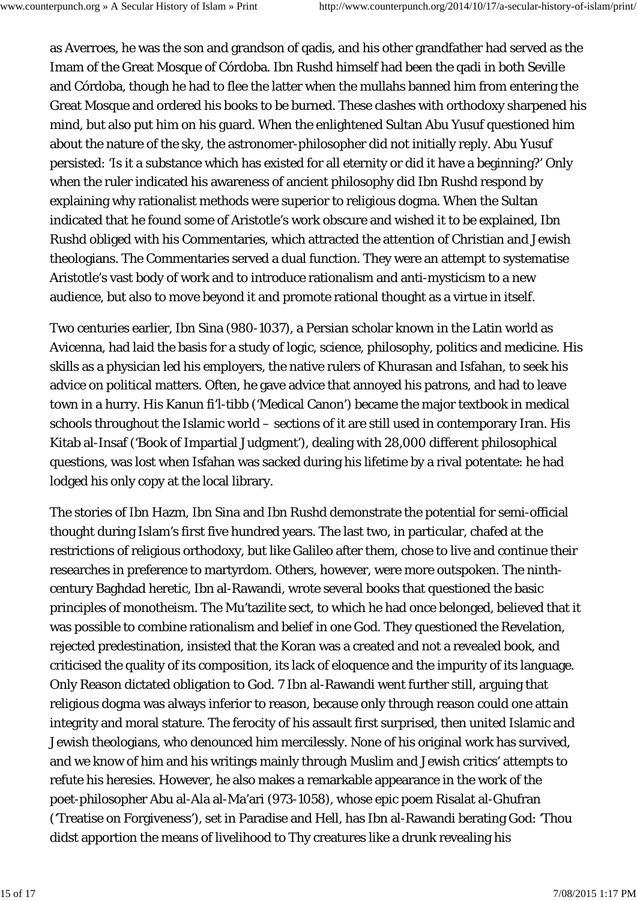as Averroes, he was the son and grandson of qadis, and his other grandfather had served as the Imam of the Great Mosque of Córdoba. Ibn Rushd himself had been the qadi in both Seville and Córdoba, though he had to flee the latter when the mullahs banned him from entering the Great Mosque and ordered his books to be burned. These clashes with orthodoxy sharpened his mind, but also put him on his guard. When the enlightened Sultan Abu Yusuf questioned him about the nature of the sky, the astronomer-philosopher did not initially reply. Abu Yusuf persisted: 'Is it a substance which has existed for all eternity or did it have a beginning?' Only when the ruler indicated his awareness of ancient philosophy did Ibn Rushd respond by explaining why rationalist methods were superior to religious dogma. When the Sultan indicated that he found some of Aristotle's work obscure and wished it to be explained, Ibn Rushd obliged with his Commentaries, which attracted the attention of Christian and Jewish theologians. The Commentaries served a dual function. They were an attempt to systematise Aristotle's vast body of work and to introduce rationalism and anti-mysticism to a new audience, but also to move beyond it and promote rational thought as a virtue in itself.

Two centuries earlier, Ibn Sina (980-1037), a Persian scholar known in the Latin world as Avicenna, had laid the basis for a study of logic, science, philosophy, politics and medicine. His skills as a physician led his employers, the native rulers of Khurasan and Isfahan, to seek his advice on political matters. Often, he gave advice that annoyed his patrons, and had to leave town in a hurry. His Kanun fi'l-tibb ('Medical Canon') became the major textbook in medical schools throughout the Islamic world – sections of it are still used in contemporary Iran. His Kitab al-Insaf ('Book of Impartial Judgment'), dealing with 28,000 different philosophical questions, was lost when Isfahan was sacked during his lifetime by a rival potentate: he had lodged his only copy at the local library.

The stories of Ibn Hazm, Ibn Sina and Ibn Rushd demonstrate the potential for semi-official thought during Islam's first five hundred years. The last two, in particular, chafed at the restrictions of religious orthodoxy, but like Galileo after them, chose to live and continue their researches in preference to martyrdom. Others, however, were more outspoken. The ninthcentury Baghdad heretic, Ibn al-Rawandi, wrote several books that questioned the basic principles of monotheism. The Mu'tazilite sect, to which he had once belonged, believed that it was possible to combine rationalism and belief in one God. They questioned the Revelation, rejected predestination, insisted that the Koran was a created and not a revealed book, and criticised the quality of its composition, its lack of eloquence and the impurity of its language. Only Reason dictated obligation to God. 7 Ibn al-Rawandi went further still, arguing that religious dogma was always inferior to reason, because only through reason could one attain integrity and moral stature. The ferocity of his assault first surprised, then united Islamic and Jewish theologians, who denounced him mercilessly. None of his original work has survived, and we know of him and his writings mainly through Muslim and Jewish critics' attempts to refute his heresies. However, he also makes a remarkable appearance in the work of the poet-philosopher Abu al-Ala al-Ma'ari (973-1058), whose epic poem Risalat al-Ghufran ('Treatise on Forgiveness'), set in Paradise and Hell, has Ibn al-Rawandi berating God: 'Thou didst apportion the means of livelihood to Thy creatures like a drunk revealing his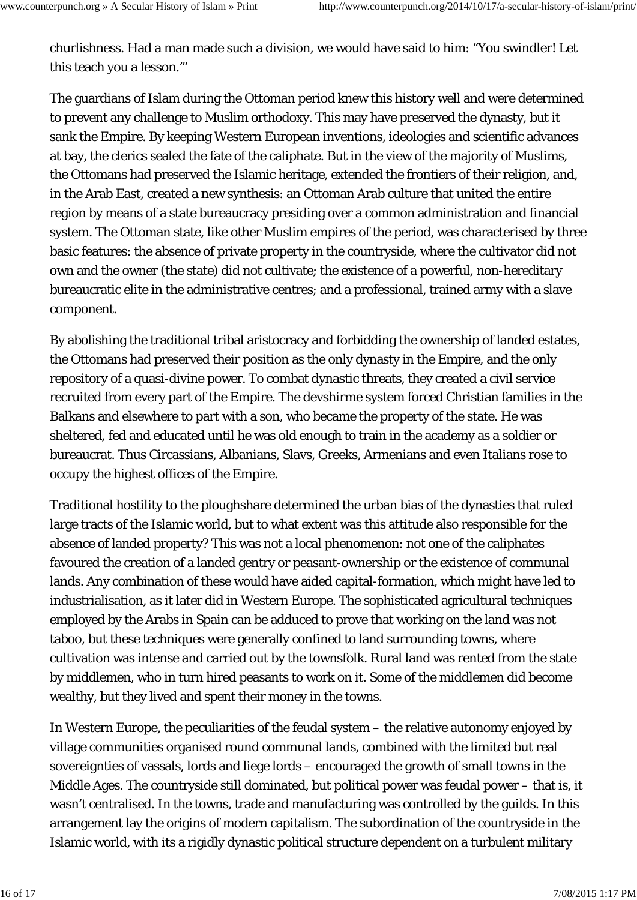churlishness. Had a man made such a division, we would have said to him: "You swindler! Let this teach you a lesson."'

The guardians of Islam during the Ottoman period knew this history well and were determined to prevent any challenge to Muslim orthodoxy. This may have preserved the dynasty, but it sank the Empire. By keeping Western European inventions, ideologies and scientific advances at bay, the clerics sealed the fate of the caliphate. But in the view of the majority of Muslims, the Ottomans had preserved the Islamic heritage, extended the frontiers of their religion, and, in the Arab East, created a new synthesis: an Ottoman Arab culture that united the entire region by means of a state bureaucracy presiding over a common administration and financial system. The Ottoman state, like other Muslim empires of the period, was characterised by three basic features: the absence of private property in the countryside, where the cultivator did not own and the owner (the state) did not cultivate; the existence of a powerful, non-hereditary bureaucratic elite in the administrative centres; and a professional, trained army with a slave component.

By abolishing the traditional tribal aristocracy and forbidding the ownership of landed estates, the Ottomans had preserved their position as the only dynasty in the Empire, and the only repository of a quasi-divine power. To combat dynastic threats, they created a civil service recruited from every part of the Empire. The devshirme system forced Christian families in the Balkans and elsewhere to part with a son, who became the property of the state. He was sheltered, fed and educated until he was old enough to train in the academy as a soldier or bureaucrat. Thus Circassians, Albanians, Slavs, Greeks, Armenians and even Italians rose to occupy the highest offices of the Empire.

Traditional hostility to the ploughshare determined the urban bias of the dynasties that ruled large tracts of the Islamic world, but to what extent was this attitude also responsible for the absence of landed property? This was not a local phenomenon: not one of the caliphates favoured the creation of a landed gentry or peasant-ownership or the existence of communal lands. Any combination of these would have aided capital-formation, which might have led to industrialisation, as it later did in Western Europe. The sophisticated agricultural techniques employed by the Arabs in Spain can be adduced to prove that working on the land was not taboo, but these techniques were generally confined to land surrounding towns, where cultivation was intense and carried out by the townsfolk. Rural land was rented from the state by middlemen, who in turn hired peasants to work on it. Some of the middlemen did become wealthy, but they lived and spent their money in the towns.

In Western Europe, the peculiarities of the feudal system – the relative autonomy enjoyed by village communities organised round communal lands, combined with the limited but real sovereignties of vassals, lords and liege lords – encouraged the growth of small towns in the Middle Ages. The countryside still dominated, but political power was feudal power – that is, it wasn't centralised. In the towns, trade and manufacturing was controlled by the guilds. In this arrangement lay the origins of modern capitalism. The subordination of the countryside in the Islamic world, with its a rigidly dynastic political structure dependent on a turbulent military